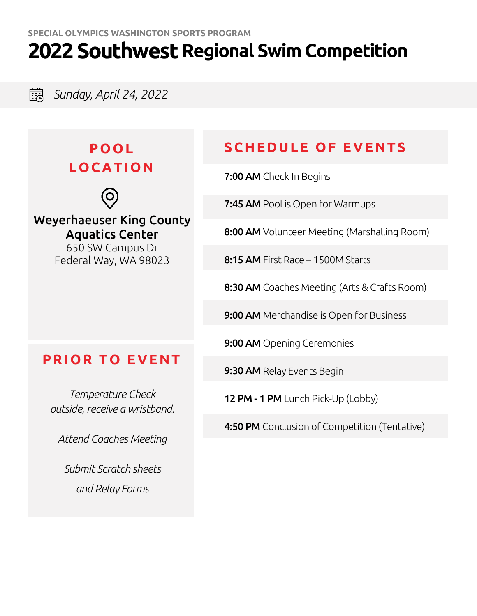**3. Sunday, April 24, 2022** 

## **POOL LOCATIO N**



Weyerhaeuser King County Aquatics Center

650 SW Campus Dr Federal Way, WA 98023

## **SCHEDULE OF EVENTS**

7:00 AM Check-In Begins

7:45 AM Pool is Open for Warmups

8:00 AM Volunteer Meeting (Marshalling Room)

8:15 AM First Race – 1500M Starts

8:30 AM Coaches Meeting (Arts & Crafts Room)

9:00 AM Merchandise is Open for Business

9:00 AM Opening Ceremonies

9:30 AM Relay Events Begin

12 PM - 1 PM Lunch Pick-Up (Lobby)

4:50 PM Conclusion of Competition (Tentative)

## **PRIOR TO EVENT**

*Temperature Check outside, receive a wristband.* 

*Attend Coaches Meeting*

*Submit Scratch sheets and Relay Forms*